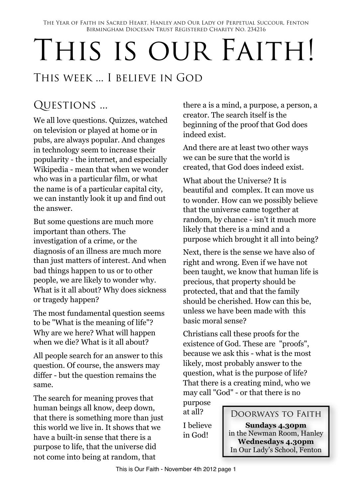The Year of Faith in Sacred Heart, Hanley and Our Lady of Perpetual Succour, Fenton Birmingham Diocesan Trust Registered Charity No. 234216

# THIS IS OUR FAITH!

## This week ... I believe in God

# QUESTIONS ...

We all love questions. Quizzes, watched on television or played at home or in pubs, are always popular. And changes in technology seem to increase their popularity - the internet, and especially Wikipedia - mean that when we wonder who was in a particular film, or what the name is of a particular capital city, we can instantly look it up and find out the answer.

But some questions are much more important than others. The investigation of a crime, or the diagnosis of an illness are much more than just matters of interest. And when bad things happen to us or to other people, we are likely to wonder why. What is it all about? Why does sickness or tragedy happen?

The most fundamental question seems to be "What is the meaning of life"? Why are we here? What will happen when we die? What is it all about?

All people search for an answer to this question. Of course, the answers may differ - but the question remains the same.

The search for meaning proves that human beings all know, deep down, that there is something more than just this world we live in. It shows that we have a built-in sense that there is a purpose to life, that the universe did not come into being at random, that

there a is a mind, a purpose, a person, a creator. The search itself is the beginning of the proof that God does indeed exist.

And there are at least two other ways we can be sure that the world is created, that God does indeed exist.

What about the Universe? It is beautiful and complex. It can move us to wonder. How can we possibly believe that the universe came together at random, by chance - isn't it much more likely that there is a mind and a purpose which brought it all into being?

Next, there is the sense we have also of right and wrong. Even if we have not been taught, we know that human life is precious, that property should be protected, that and that the family should be cherished. How can this be, unless we have been made with this basic moral sense?

Christians call these proofs for the existence of God. These are "proofs", because we ask this - what is the most likely, most probably answer to the question, what is the purpose of life? That there is a creating mind, who we may call "God" - or that there is no purpose

at all?

I believe in God!

#### Doorways to Faith

**Sundays 4.30pm** in the Newman Room, Hanley **Wednesdays 4.30pm** In Our Lady's School, Fenton